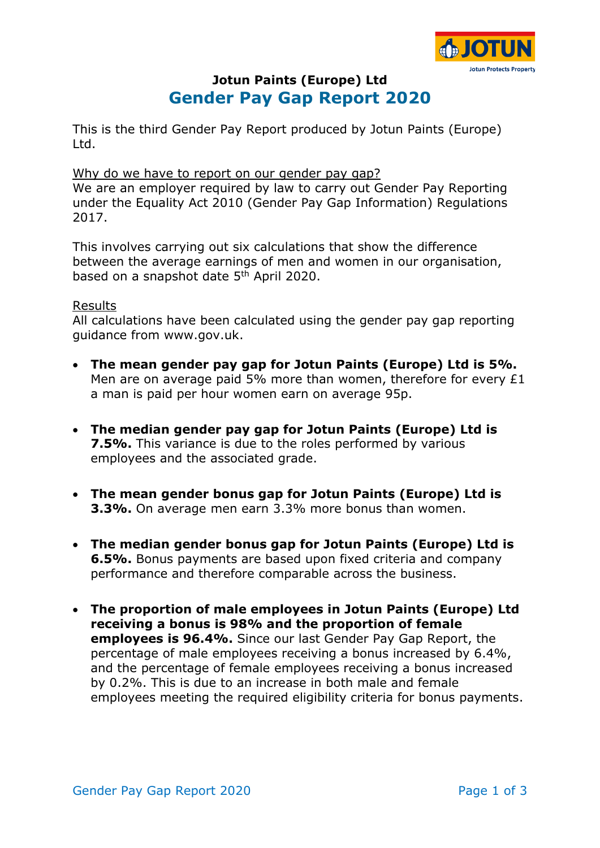

# **Jotun Paints (Europe) Ltd Gender Pay Gap Report 2020**

This is the third Gender Pay Report produced by Jotun Paints (Europe) Ltd.

#### Why do we have to report on our gender pay gap?

We are an employer required by law to carry out Gender Pay Reporting under the Equality Act 2010 (Gender Pay Gap Information) Regulations 2017.

This involves carrying out six calculations that show the difference between the average earnings of men and women in our organisation, based on a snapshot date 5<sup>th</sup> April 2020.

#### Results

All calculations have been calculated using the gender pay gap reporting guidance from www.gov.uk.

- **The mean gender pay gap for Jotun Paints (Europe) Ltd is 5%.** Men are on average paid 5% more than women, therefore for every £1 a man is paid per hour women earn on average 95p.
- **The median gender pay gap for Jotun Paints (Europe) Ltd is 7.5%.** This variance is due to the roles performed by various employees and the associated grade.
- **The mean gender bonus gap for Jotun Paints (Europe) Ltd is 3.3%.** On average men earn 3.3% more bonus than women.
- **The median gender bonus gap for Jotun Paints (Europe) Ltd is 6.5%.** Bonus payments are based upon fixed criteria and company performance and therefore comparable across the business.
- **The proportion of male employees in Jotun Paints (Europe) Ltd receiving a bonus is 98% and the proportion of female employees is 96.4%.** Since our last Gender Pay Gap Report, the percentage of male employees receiving a bonus increased by 6.4%, and the percentage of female employees receiving a bonus increased by 0.2%. This is due to an increase in both male and female employees meeting the required eligibility criteria for bonus payments.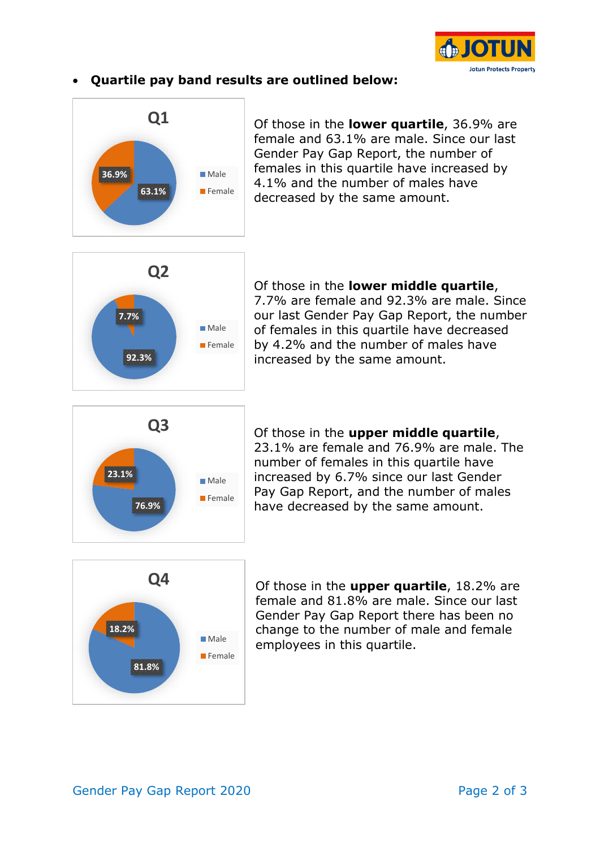

## • **Quartile pay band results are outlined below:**



Of those in the **lower quartile**, 36.9% are female and 63.1% are male. Since our last Gender Pay Gap Report, the number of females in this quartile have increased by 4.1% and the number of males have decreased by the same amount.



Of those in the **lower middle quartile**, 7.7% are female and 92.3% are male. Since our last Gender Pay Gap Report, the number of females in this quartile have decreased by 4.2% and the number of males have increased by the same amount.



Of those in the **upper middle quartile**, 23.1% are female and 76.9% are male. The number of females in this quartile have increased by 6.7% since our last Gender Pay Gap Report, and the number of males have decreased by the same amount.



Of those in the **upper quartile**, 18.2% are female and 81.8% are male. Since our last Gender Pay Gap Report there has been no change to the number of male and female employees in this quartile.